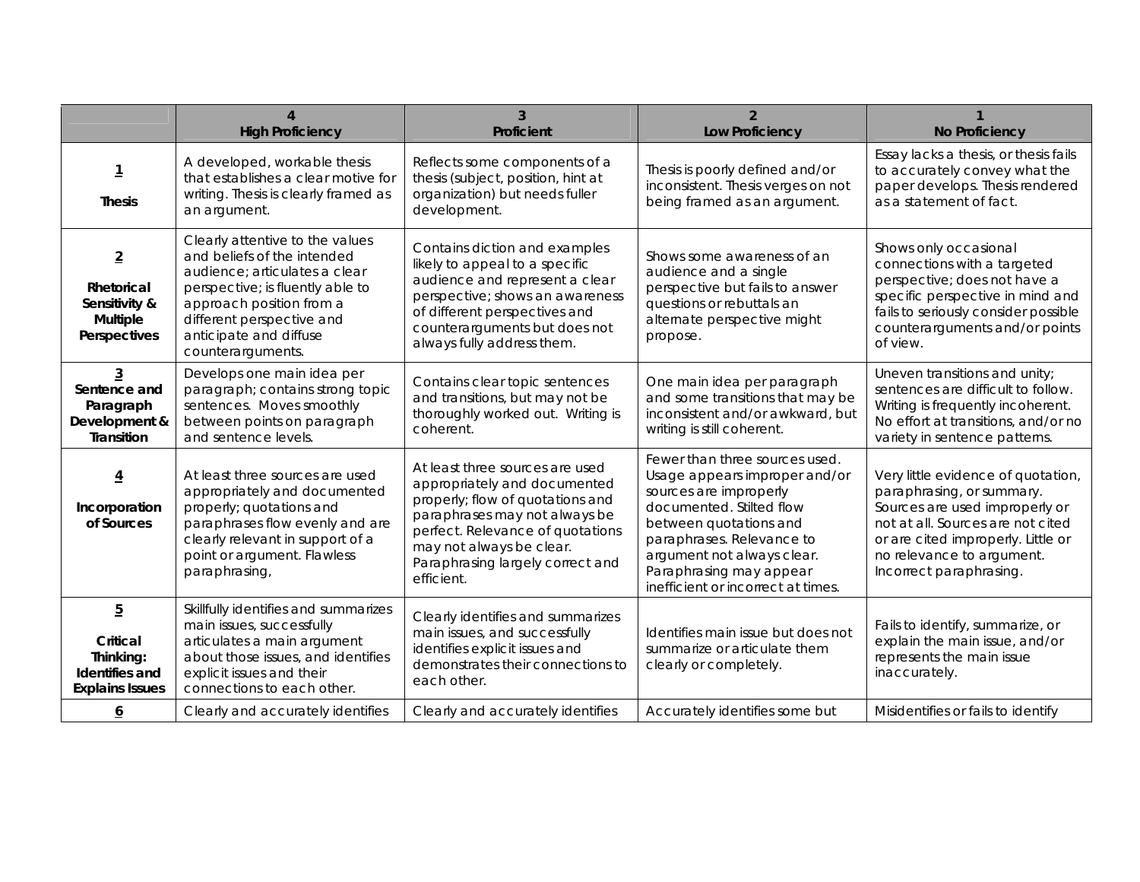|                                                                                     | <b>High Proficiency</b>                                                                                                                                                                                                                     | 3<br><b>Proficient</b>                                                                                                                                                                                                                                 | $\overline{2}$<br><b>Low Proficiency</b>                                                                                                                                                                                                                                    | <b>No Proficiency</b>                                                                                                                                                                                                                |
|-------------------------------------------------------------------------------------|---------------------------------------------------------------------------------------------------------------------------------------------------------------------------------------------------------------------------------------------|--------------------------------------------------------------------------------------------------------------------------------------------------------------------------------------------------------------------------------------------------------|-----------------------------------------------------------------------------------------------------------------------------------------------------------------------------------------------------------------------------------------------------------------------------|--------------------------------------------------------------------------------------------------------------------------------------------------------------------------------------------------------------------------------------|
| 1<br><b>Thesis</b>                                                                  | A developed, workable thesis<br>that establishes a clear motive for<br>writing. Thesis is clearly framed as<br>an argument.                                                                                                                 | Reflects some components of a<br>thesis (subject, position, hint at<br>organization) but needs fuller<br>development.                                                                                                                                  | Thesis is poorly defined and/or<br>inconsistent. Thesis verges on not<br>being framed as an argument.                                                                                                                                                                       | Essay lacks a thesis, or thesis fails<br>to accurately convey what the<br>paper develops. Thesis rendered<br>as a statement of fact.                                                                                                 |
| $\overline{2}$<br>Rhetorical<br>Sensitivity &<br><b>Multiple</b><br>Perspectives    | Clearly attentive to the values<br>and beliefs of the intended<br>audience; articulates a clear<br>perspective; is fluently able to<br>approach position from a<br>different perspective and<br>anticipate and diffuse<br>counterarguments. | Contains diction and examples<br>likely to appeal to a specific<br>audience and represent a clear<br>perspective; shows an awareness<br>of different perspectives and<br>counterarguments but does not<br>always fully address them.                   | Shows some awareness of an<br>audience and a single<br>perspective but fails to answer<br>questions or rebuttals an<br>alternate perspective might<br>propose.                                                                                                              | Shows only occasional<br>connections with a targeted<br>perspective; does not have a<br>specific perspective in mind and<br>fails to seriously consider possible<br>counterarguments and/or points<br>of view.                       |
| 3<br>Sentence and<br>Paragraph<br>Development &<br><b>Transition</b>                | Develops one main idea per<br>paragraph; contains strong topic<br>sentences. Moves smoothly<br>between points on paragraph<br>and sentence levels.                                                                                          | Contains clear topic sentences<br>and transitions, but may not be<br>thoroughly worked out. Writing is<br>coherent.                                                                                                                                    | One main idea per paragraph<br>and some transitions that may be<br>inconsistent and/or awkward, but<br>writing is still coherent.                                                                                                                                           | Uneven transitions and unity;<br>sentences are difficult to follow.<br>Writing is frequently incoherent.<br>No effort at transitions, and/or no<br>variety in sentence patterns.                                                     |
| 4<br>Incorporation<br>of Sources                                                    | At least three sources are used<br>appropriately and documented<br>properly; quotations and<br>paraphrases flow evenly and are<br>clearly relevant in support of a<br>point or argument. Flawless<br>paraphrasing,                          | At least three sources are used<br>appropriately and documented<br>properly; flow of quotations and<br>paraphrases may not always be<br>perfect. Relevance of quotations<br>may not always be clear.<br>Paraphrasing largely correct and<br>efficient. | Fewer than three sources used.<br>Usage appears improper and/or<br>sources are improperly<br>documented. Stilted flow<br>between quotations and<br>paraphrases. Relevance to<br>argument not always clear.<br>Paraphrasing may appear<br>inefficient or incorrect at times. | Very little evidence of quotation,<br>paraphrasing, or summary.<br>Sources are used improperly or<br>not at all. Sources are not cited<br>or are cited improperly. Little or<br>no relevance to argument.<br>Incorrect paraphrasing. |
| $\overline{5}$<br>Critical<br>Thinking:<br>Identifies and<br><b>Explains Issues</b> | Skillfully identifies and summarizes<br>main issues, successfully<br>articulates a main argument<br>about those issues, and identifies<br>explicit issues and their<br>connections to each other.                                           | Clearly identifies and summarizes<br>main issues, and successfully<br>identifies explicit issues and<br>demonstrates their connections to<br>each other.                                                                                               | Identifies main issue but does not<br>summarize or articulate them<br>clearly or completely.                                                                                                                                                                                | Fails to identify, summarize, or<br>explain the main issue, and/or<br>represents the main issue<br>inaccurately.                                                                                                                     |
| <u>6</u>                                                                            | Clearly and accurately identifies                                                                                                                                                                                                           | Clearly and accurately identifies                                                                                                                                                                                                                      | Accurately identifies some but                                                                                                                                                                                                                                              | Misidentifies or fails to identify                                                                                                                                                                                                   |